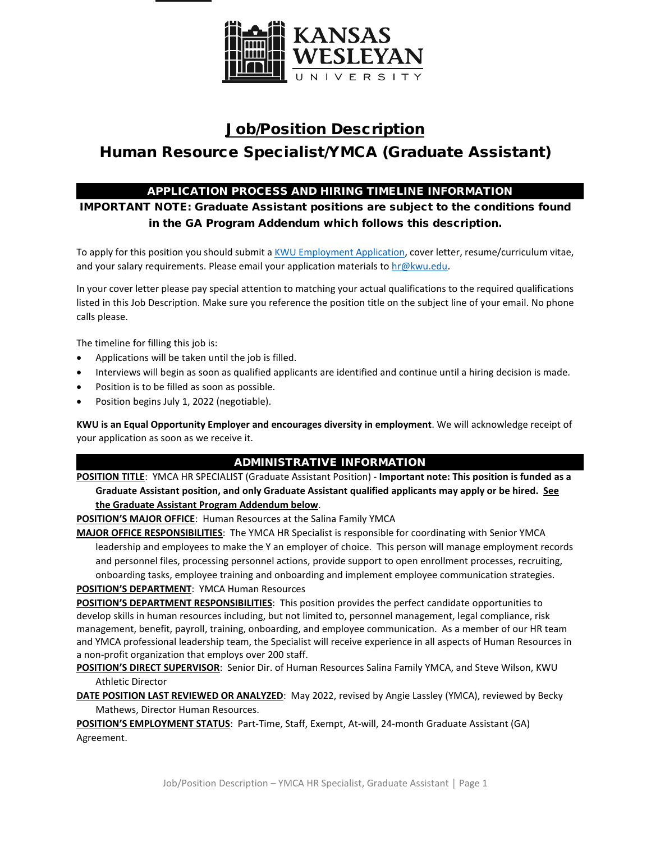

# Job/Position Description Human Resource Specialist/YMCA (Graduate Assistant)

# APPLICATION PROCESS AND HIRING TIMELINE INFORMATION

IMPORTANT NOTE: Graduate Assistant positions are subject to the conditions found in the GA Program Addendum which follows this description.

To apply for this position you should submit [a KWU Employment Application,](https://www.kwu.edu/wp-content/uploads/Employment-Application-Form-ELECTRONIC-Revised-3-.pdf) cover letter, resume/curriculum vitae, and your salary requirements. Please email your application materials to  $hr@kwu.edu$ .

In your cover letter please pay special attention to matching your actual qualifications to the required qualifications listed in this Job Description. Make sure you reference the position title on the subject line of your email. No phone calls please.

The timeline for filling this job is:

- Applications will be taken until the job is filled.
- Interviews will begin as soon as qualified applicants are identified and continue until a hiring decision is made.
- Position is to be filled as soon as possible.
- Position begins July 1, 2022 (negotiable).

**KWU is an Equal Opportunity Employer and encourages diversity in employment**. We will acknowledge receipt of your application as soon as we receive it.

## ADMINISTRATIVE INFORMATION

**POSITION TITLE**: YMCA HR SPECIALIST (Graduate Assistant Position) - **Important note: This position is funded as a Graduate Assistant position, and only Graduate Assistant qualified applicants may apply or be hired. See the Graduate Assistant Program Addendum below**.

**POSITION'S MAJOR OFFICE**: Human Resources at the Salina Family YMCA

**MAJOR OFFICE RESPONSIBILITIES**: The YMCA HR Specialist is responsible for coordinating with Senior YMCA leadership and employees to make the Y an employer of choice. This person will manage employment records and personnel files, processing personnel actions, provide support to open enrollment processes, recruiting, onboarding tasks, employee training and onboarding and implement employee communication strategies.

**POSITION'S DEPARTMENT**: YMCA Human Resources

**POSITION'S DEPARTMENT RESPONSIBILITIES**: This position provides the perfect candidate opportunities to develop skills in human resources including, but not limited to, personnel management, legal compliance, risk management, benefit, payroll, training, onboarding, and employee communication. As a member of our HR team and YMCA professional leadership team, the Specialist will receive experience in all aspects of Human Resources in a non-profit organization that employs over 200 staff.

**POSITION'S DIRECT SUPERVISOR**: Senior Dir. of Human Resources Salina Family YMCA, and Steve Wilson, KWU Athletic Director

**DATE POSITION LAST REVIEWED OR ANALYZED**: May 2022, revised by Angie Lassley (YMCA), reviewed by Becky Mathews, Director Human Resources.

**POSITION'S EMPLOYMENT STATUS**: Part-Time, Staff, Exempt, At-will, 24-month Graduate Assistant (GA) Agreement.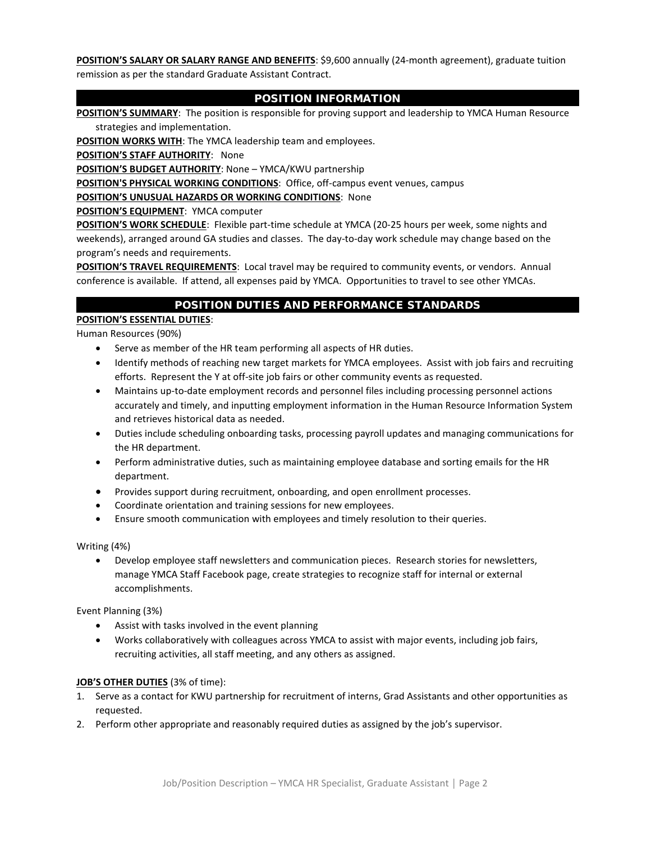**POSITION'S SALARY OR SALARY RANGE AND BENEFITS**: \$9,600 annually (24-month agreement), graduate tuition remission as per the standard Graduate Assistant Contract.

## POSITION INFORMATION

**POSITION'S SUMMARY**: The position is responsible for proving support and leadership to YMCA Human Resource strategies and implementation.

**POSITION WORKS WITH:** The YMCA leadership team and employees.

**POSITION'S STAFF AUTHORITY**: None

**POSITION'S BUDGET AUTHORITY**: None – YMCA/KWU partnership

**POSITION'S PHYSICAL WORKING CONDITIONS**: Office, off-campus event venues, campus

**POSITION'S UNUSUAL HAZARDS OR WORKING CONDITIONS**: None

**POSITION'S EQUIPMENT**: YMCA computer

**POSITION'S WORK SCHEDULE**: Flexible part-time schedule at YMCA (20-25 hours per week, some nights and weekends), arranged around GA studies and classes. The day-to-day work schedule may change based on the program's needs and requirements.

**POSITION'S TRAVEL REQUIREMENTS**: Local travel may be required to community events, or vendors. Annual conference is available. If attend, all expenses paid by YMCA. Opportunities to travel to see other YMCAs.

## POSITION DUTIES AND PERFORMANCE STANDARDS

## **POSITION'S ESSENTIAL DUTIES**:

Human Resources (90%)

- Serve as member of the HR team performing all aspects of HR duties.
- Identify methods of reaching new target markets for YMCA employees. Assist with job fairs and recruiting efforts. Represent the Y at off-site job fairs or other community events as requested.
- Maintains up-to-date employment records and personnel files including processing personnel actions accurately and timely, and inputting employment information in the Human Resource Information System and retrieves historical data as needed.
- Duties include scheduling onboarding tasks, processing payroll updates and managing communications for the HR department.
- Perform administrative duties, such as maintaining employee database and sorting emails for the HR department.
- Provides support during recruitment, onboarding, and open enrollment processes.
- Coordinate orientation and training sessions for new employees.
- Ensure smooth communication with employees and timely resolution to their queries.

Writing (4%)

• Develop employee staff newsletters and communication pieces. Research stories for newsletters, manage YMCA Staff Facebook page, create strategies to recognize staff for internal or external accomplishments.

Event Planning (3%)

- Assist with tasks involved in the event planning
- Works collaboratively with colleagues across YMCA to assist with major events, including job fairs, recruiting activities, all staff meeting, and any others as assigned.

## **JOB'S OTHER DUTIES** (3% of time):

- 1. Serve as a contact for KWU partnership for recruitment of interns, Grad Assistants and other opportunities as requested.
- 2. Perform other appropriate and reasonably required duties as assigned by the job's supervisor.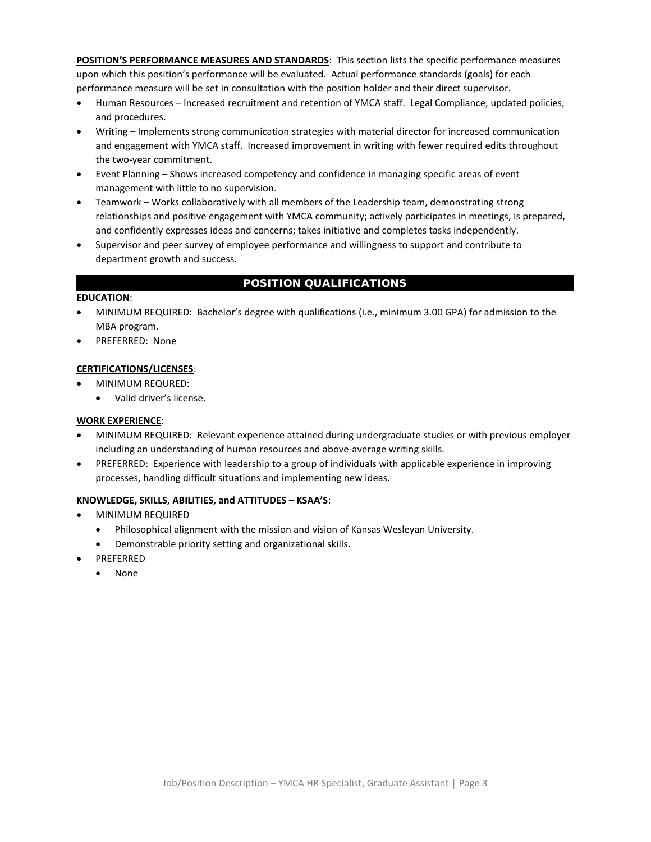**POSITION'S PERFORMANCE MEASURES AND STANDARDS**: This section lists the specific performance measures upon which this position's performance will be evaluated. Actual performance standards (goals) for each performance measure will be set in consultation with the position holder and their direct supervisor.

- Human Resources Increased recruitment and retention of YMCA staff. Legal Compliance, updated policies, and procedures.
- Writing Implements strong communication strategies with material director for increased communication and engagement with YMCA staff. Increased improvement in writing with fewer required edits throughout the two-year commitment.
- Event Planning Shows increased competency and confidence in managing specific areas of event management with little to no supervision.
- Teamwork Works collaboratively with all members of the Leadership team, demonstrating strong relationships and positive engagement with YMCA community; actively participates in meetings, is prepared, and confidently expresses ideas and concerns; takes initiative and completes tasks independently.
- Supervisor and peer survey of employee performance and willingness to support and contribute to department growth and success.

# POSITION QUALIFICATIONS

## **EDUCATION**:

- MINIMUM REQUIRED: Bachelor's degree with qualifications (i.e., minimum 3.00 GPA) for admission to the MBA program.
- PREFERRED: None

## **CERTIFICATIONS/LICENSES**:

- MINIMUM REQURED:
	- Valid driver's license.

## **WORK EXPERIENCE**:

- MINIMUM REQUIRED: Relevant experience attained during undergraduate studies or with previous employer including an understanding of human resources and above-average writing skills.
- PREFERRED: Experience with leadership to a group of individuals with applicable experience in improving processes, handling difficult situations and implementing new ideas.

## **KNOWLEDGE, SKILLS, ABILITIES, and ATTITUDES – KSAA'S**:

- MINIMUM REQUIRED
	- Philosophical alignment with the mission and vision of Kansas Wesleyan University.
	- Demonstrable priority setting and organizational skills.
	- PREFERRED
	- None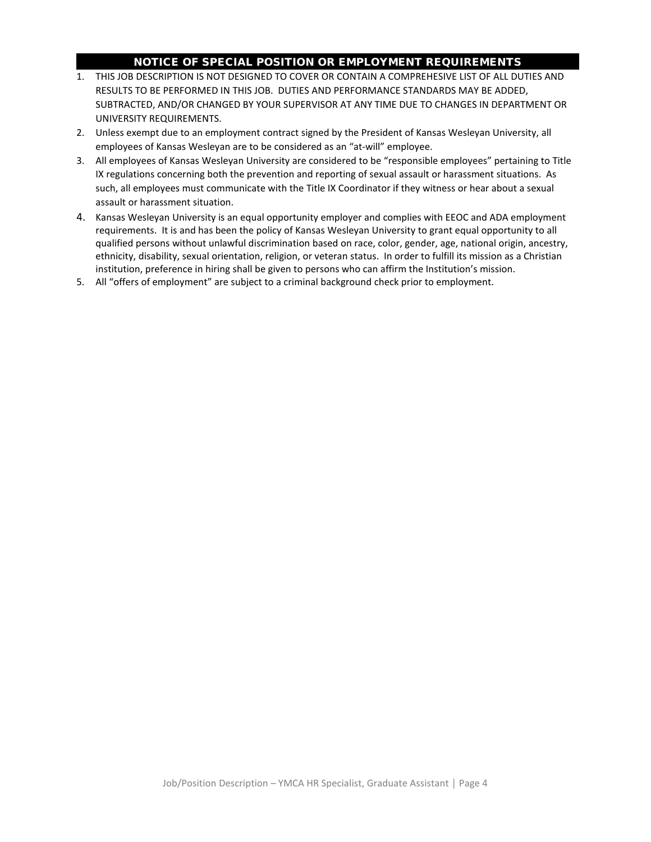## NOTICE OF SPECIAL POSITION OR EMPLOYMENT REQUIREMENTS

- 1. THIS JOB DESCRIPTION IS NOT DESIGNED TO COVER OR CONTAIN A COMPREHESIVE LIST OF ALL DUTIES AND RESULTS TO BE PERFORMED IN THIS JOB. DUTIES AND PERFORMANCE STANDARDS MAY BE ADDED, SUBTRACTED, AND/OR CHANGED BY YOUR SUPERVISOR AT ANY TIME DUE TO CHANGES IN DEPARTMENT OR UNIVERSITY REQUIREMENTS.
- 2. Unless exempt due to an employment contract signed by the President of Kansas Wesleyan University, all employees of Kansas Wesleyan are to be considered as an "at-will" employee.
- 3. All employees of Kansas Wesleyan University are considered to be "responsible employees" pertaining to Title IX regulations concerning both the prevention and reporting of sexual assault or harassment situations. As such, all employees must communicate with the Title IX Coordinator if they witness or hear about a sexual assault or harassment situation.
- 4. Kansas Wesleyan University is an equal opportunity employer and complies with EEOC and ADA employment requirements. It is and has been the policy of Kansas Wesleyan University to grant equal opportunity to all qualified persons without unlawful discrimination based on race, color, gender, age, national origin, ancestry, ethnicity, disability, sexual orientation, religion, or veteran status. In order to fulfill its mission as a Christian institution, preference in hiring shall be given to persons who can affirm the Institution's mission.
- 5. All "offers of employment" are subject to a criminal background check prior to employment.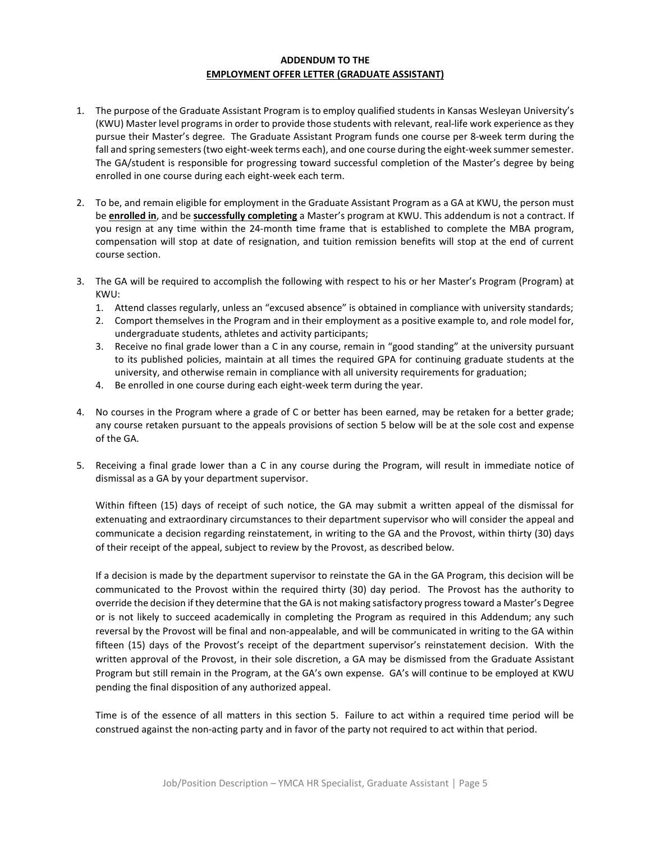## **ADDENDUM TO THE EMPLOYMENT OFFER LETTER (GRADUATE ASSISTANT)**

- 1. The purpose of the Graduate Assistant Program is to employ qualified students in Kansas Wesleyan University's (KWU) Master level programs in order to provide those students with relevant, real-life work experience as they pursue their Master's degree. The Graduate Assistant Program funds one course per 8-week term during the fall and spring semesters (two eight-week terms each), and one course during the eight-week summer semester. The GA/student is responsible for progressing toward successful completion of the Master's degree by being enrolled in one course during each eight-week each term.
- 2. To be, and remain eligible for employment in the Graduate Assistant Program as a GA at KWU, the person must be **enrolled in**, and be **successfully completing** a Master's program at KWU. This addendum is not a contract. If you resign at any time within the 24-month time frame that is established to complete the MBA program, compensation will stop at date of resignation, and tuition remission benefits will stop at the end of current course section.
- 3. The GA will be required to accomplish the following with respect to his or her Master's Program (Program) at KWU:
	- 1. Attend classes regularly, unless an "excused absence" is obtained in compliance with university standards;
	- 2. Comport themselves in the Program and in their employment as a positive example to, and role model for, undergraduate students, athletes and activity participants;
	- 3. Receive no final grade lower than a C in any course, remain in "good standing" at the university pursuant to its published policies, maintain at all times the required GPA for continuing graduate students at the university, and otherwise remain in compliance with all university requirements for graduation;
	- 4. Be enrolled in one course during each eight-week term during the year.
- 4. No courses in the Program where a grade of C or better has been earned, may be retaken for a better grade; any course retaken pursuant to the appeals provisions of section 5 below will be at the sole cost and expense of the GA.
- 5. Receiving a final grade lower than a C in any course during the Program, will result in immediate notice of dismissal as a GA by your department supervisor.

Within fifteen (15) days of receipt of such notice, the GA may submit a written appeal of the dismissal for extenuating and extraordinary circumstances to their department supervisor who will consider the appeal and communicate a decision regarding reinstatement, in writing to the GA and the Provost, within thirty (30) days of their receipt of the appeal, subject to review by the Provost, as described below.

If a decision is made by the department supervisor to reinstate the GA in the GA Program, this decision will be communicated to the Provost within the required thirty (30) day period. The Provost has the authority to override the decision if they determine that the GA is not making satisfactory progress toward a Master's Degree or is not likely to succeed academically in completing the Program as required in this Addendum; any such reversal by the Provost will be final and non-appealable, and will be communicated in writing to the GA within fifteen (15) days of the Provost's receipt of the department supervisor's reinstatement decision. With the written approval of the Provost, in their sole discretion, a GA may be dismissed from the Graduate Assistant Program but still remain in the Program, at the GA's own expense. GA's will continue to be employed at KWU pending the final disposition of any authorized appeal.

Time is of the essence of all matters in this section 5. Failure to act within a required time period will be construed against the non-acting party and in favor of the party not required to act within that period.